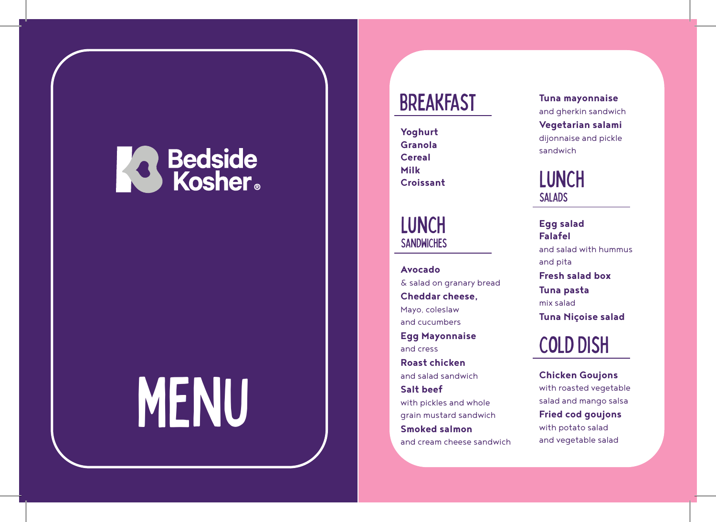## **Redside**<br>Kosher

# MENU

## **BREAKFAST**

**Yoghurt Granola Cereal Milk Croissant** 

### **LUNCH SANDWICHES**

**Avocado** & salad on granary bread **Cheddar cheese,**  Mayo, coleslaw and cucumbers **Egg Mayonnaise**  and cress **Roast chicken**  and salad sandwich **Salt beef**  with pickles and whole grain mustard sandwich **Smoked salmon** 

and cream cheese sandwich

**Tuna mayonnaise**  and gherkin sandwich **Vegetarian salami**  dijonnaise and pickle sandwich

## **LUNCH SALADS**

**Egg salad Falafel**  and salad with hummus and pita **Fresh salad box Tuna pasta**  mix salad **Tuna Niçoise salad** 

## Cold Dish

**Chicken Goujons**  with roasted vegetable salad and mango salsa **Fried cod goujons**  with potato salad and vegetable salad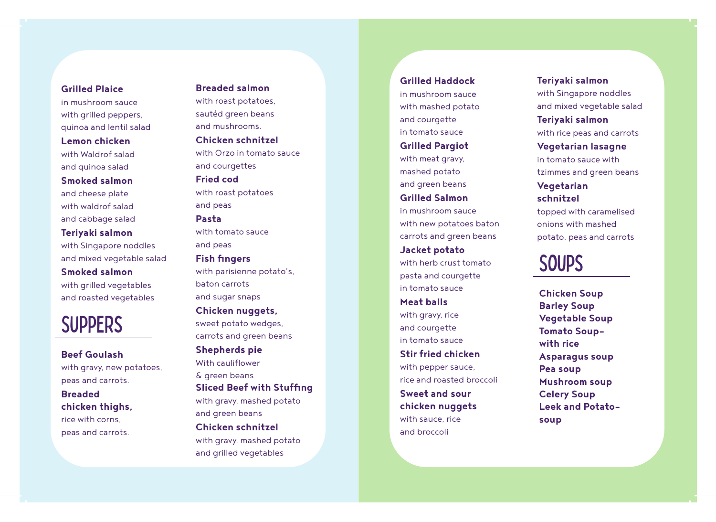#### **Grilled Plaice**

in mushroom sauce with grilled peppers, quinoa and lentil salad **Lemon chicken**  with Waldrof salad and quinoa salad **Smoked salmon**  and cheese plate with waldrof salad and cabbage salad

**Teriyaki salmon**  with Singapore noddles and mixed vegetable salad

**Smoked salmon** 

with grilled vegetables and roasted vegetables

## **SUPPERS**

**Beef Goulash**  with gravy, new potatoes. peas and carrots. **Breaded** 

**chicken thighs,**  rice with corns, peas and carrots.

#### **Breaded salmon**

with roast potatoes, sautéd green beans and mushrooms.

**Chicken schnitzel**  with Orzo in tomato sauce and courgettes

**Fried cod**  with roast potatoes and peas

#### **Pasta**

with tomato sauce and peas

#### **Fish fingers**

with parisienne potato's, baton carrots and sugar snaps **Chicken nuggets,** 

sweet potato wedges, carrots and green beans

#### **Shepherds pie**  With cauliflower & green beans

**Sliced Beef with Stuffing** with gravy, mashed potato

and green beans **Chicken schnitzel**  with gravy, mashed potato and grilled vegetables

#### **Grilled Haddock**

in mushroom sauce with mashed potato and courgette in tomato sauce **Grilled Pargiot** 

with meat gravy. mashed potato and green beans

**Grilled Salmon**  in mushroom sauce with new potatoes baton carrots and green beans **Jacket potato**  with herb crust tomato pasta and courgette in tomato sauce **Meat balls** 

with gravy, rice and courgette in tomato sauce **Stir fried chicken**  with pepper sauce, rice and roasted broccoli **Sweet and sour chicken nuggets**  with sauce, rice

and broccoli

#### **Teriyaki salmon**  with Singapore noddles

and mixed vegetable salad **Teriyaki salmon**  with rice peas and carrots

**Vegetarian lasagne**  in tomato sauce with tzimmes and green beans

#### **Vegetarian schnitzel**

topped with caramelised onions with mashed potato, peas and carrots

## **SOUPS**

**Chicken Soup Barley Soup Vegetable Soup Tomato Soupwith rice Asparagus soup Pea soup Mushroom soup Celery Soup Leek and Potatosoup**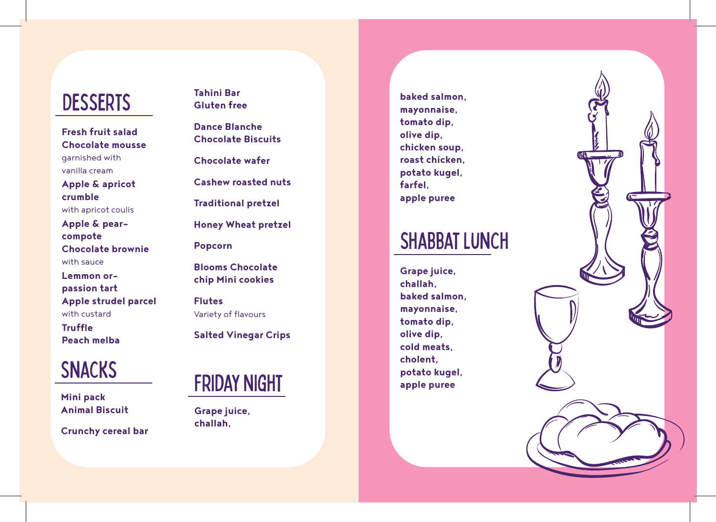## **DESSERTS**

**Fresh fruit salad Chocolate mousse**  garnished with vanilla cream

**Apple & apricot crumble**  with apricot coulis

**Apple & pearcompote Chocolate brownie**  with sauce

**Lemmon orpassion tart Apple strudel parcel**  with custard

**Truffle Peach melba**

## **SNACKS**

**Mini pack Animal Biscuit** 

**Crunchy cereal bar** 

**Tahini Bar Gluten free** 

**Dance Blanche Chocolate Biscuits** 

**Chocolate wafer** 

**Cashew roasted nuts** 

**Traditional pretzel** 

**Honey Wheat pretzel**

**Popcorn** 

**Blooms Chocolate chip Mini cookies** 

**Flutes**  Variety of flavours

**Salted Vinegar Crips** 



**Grape juice, challah,** 

**baked salmon, mayonnaise, tomato dip, olive dip, chicken soup, roast chicken, potato kugel, farfel, apple puree** 

## **SHABBAT LUNCH**

**Grape juice, challah, baked salmon, mayonnaise, tomato dip, olive dip, cold meats, cholent, potato kugel, apple puree**